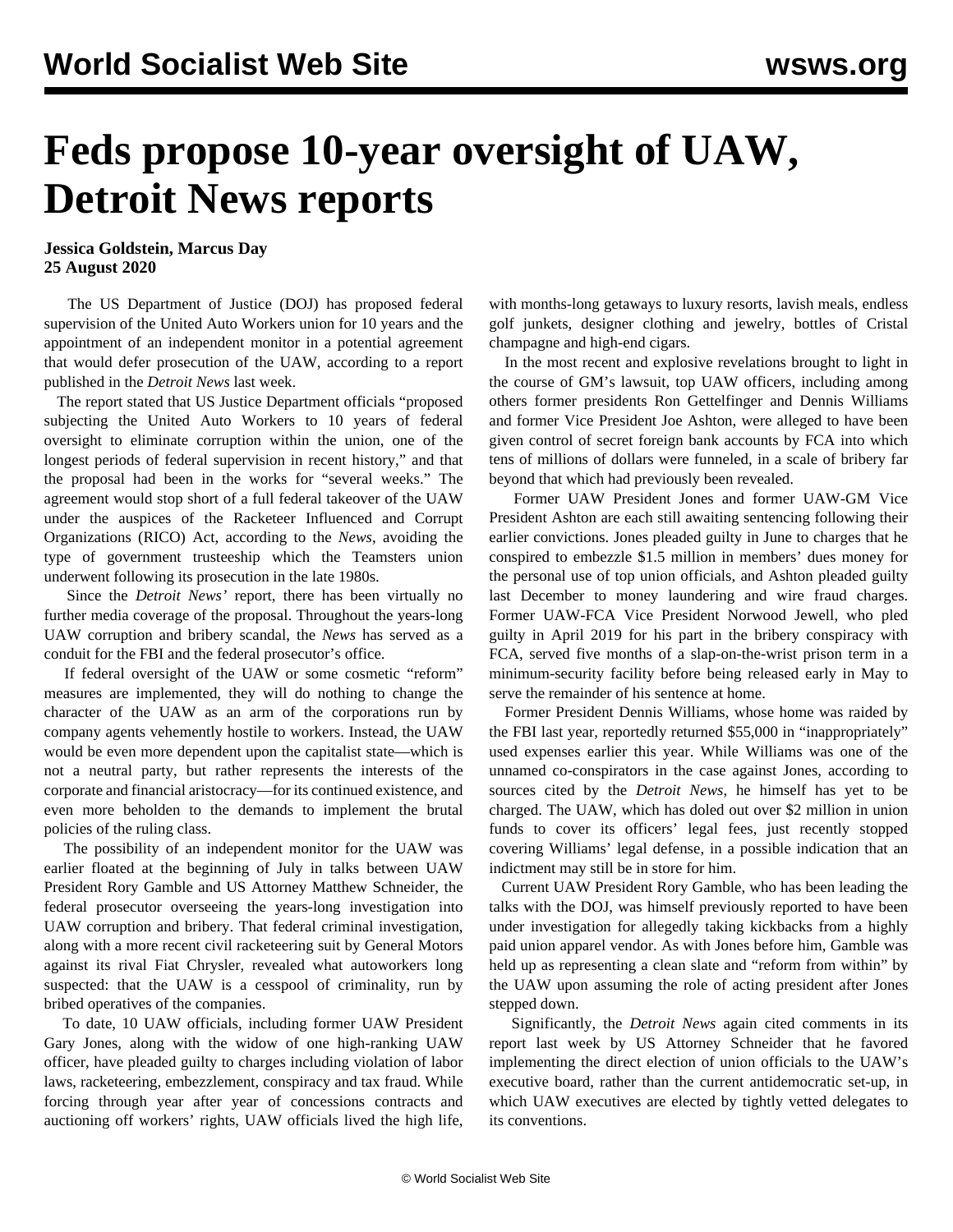## **Feds propose 10-year oversight of UAW, Detroit News reports**

**Jessica Goldstein, Marcus Day 25 August 2020**

 The US Department of Justice (DOJ) has proposed federal supervision of the United Auto Workers union for 10 years and the appointment of an independent monitor in a potential agreement that would defer prosecution of the UAW, according to a report published in the *Detroit News* last week.

 The report stated that US Justice Department officials "proposed subjecting the United Auto Workers to 10 years of federal oversight to eliminate corruption within the union, one of the longest periods of federal supervision in recent history," and that the proposal had been in the works for "several weeks." The agreement would stop short of a full federal takeover of the UAW under the auspices of the Racketeer Influenced and Corrupt Organizations (RICO) Act, according to the *News*, avoiding the type of government trusteeship which the Teamsters union underwent following its prosecution in the late 1980s.

 Since the *Detroit News'* report, there has been virtually no further media coverage of the proposal. Throughout the years-long UAW corruption and bribery scandal, the *News* has served as a conduit for the FBI and the federal prosecutor's office.

 If federal oversight of the UAW or some cosmetic "reform" measures are implemented, they will do nothing to change the character of the UAW as an arm of the corporations run by company agents vehemently hostile to workers. Instead, the UAW would be even more dependent upon the capitalist state—which is not a neutral party, but rather represents the interests of the corporate and financial aristocracy—for its continued existence, and even more beholden to the demands to implement the brutal policies of the ruling class.

 The possibility of an independent monitor for the UAW was earlier floated at the beginning of July in [talks](/en/articles/2020/07/02/uawa-j02.html) between UAW President Rory Gamble and US Attorney Matthew Schneider, the federal prosecutor overseeing the years-long investigation into UAW corruption and bribery. That federal criminal investigation, along with a more recent civil racketeering suit by General Motors against its rival Fiat Chrysler, revealed what autoworkers long suspected: that the UAW is a cesspool of criminality, run by bribed operatives of the companies.

 To date, 10 UAW officials, including former UAW President Gary Jones, along with the widow of one high-ranking UAW officer, have pleaded guilty to charges including violation of labor laws, racketeering, embezzlement, conspiracy and tax fraud. While forcing through year after year of concessions contracts and auctioning off workers' rights, UAW officials lived the high life, with months-long getaways to luxury resorts, lavish meals, endless golf junkets, designer clothing and jewelry, bottles of Cristal champagne and high-end cigars.

 In the most recent and explosive revelations brought to light in the course of GM's lawsuit, top UAW officers, including among others former presidents Ron Gettelfinger and Dennis Williams and former Vice President Joe Ashton, were alleged to have been given control of [secret foreign bank accounts](/en/articles/2020/08/05/auto-a05.html) by FCA into which tens of millions of dollars were funneled, in a scale of bribery far beyond that which had previously been revealed.

 Former UAW President Jones and former UAW-GM Vice President Ashton are each still awaiting sentencing following their earlier convictions. [Jones pleaded guilty](/en/articles/2020/06/04/auto-j04.html) in June to charges that he conspired to embezzle \$1.5 million in members' dues money for the personal use of top union officials, and Ashton pleaded guilty last December to money laundering and wire fraud charges. Former UAW-FCA Vice President Norwood Jewell, who pled guilty in April 2019 for his part in the bribery conspiracy with FCA, served five months of a slap-on-the-wrist prison term in a minimum-security facility before being released early in May to serve the remainder of his sentence at home.

 Former President Dennis Williams, whose home was raided by the FBI last year, reportedly returned \$55,000 in "inappropriately" used expenses earlier this year. While Williams was one of the unnamed co-conspirators in the case against Jones, according to sources cited by the *Detroit News*, he himself has yet to be charged. The UAW, which has doled out over \$2 million in union funds to cover its officers' legal fees, just recently stopped covering Williams' legal defense, in a possible indication that an indictment may still be in store for him.

 Current UAW President Rory Gamble, who has been leading the talks with the DOJ, was himself previously reported to have been under investigation for allegedly taking kickbacks from a highly paid union apparel vendor. As with Jones before him, Gamble was held up as representing a clean slate and "reform from within" by the UAW upon assuming the role of acting president after Jones stepped down.

 Significantly, the *Detroit News* again cited comments in its report last week by US Attorney Schneider that he favored implementing the direct election of union officials to the UAW's executive board, rather than the current antidemocratic set-up, in which UAW executives are elected by tightly vetted delegates to its conventions.